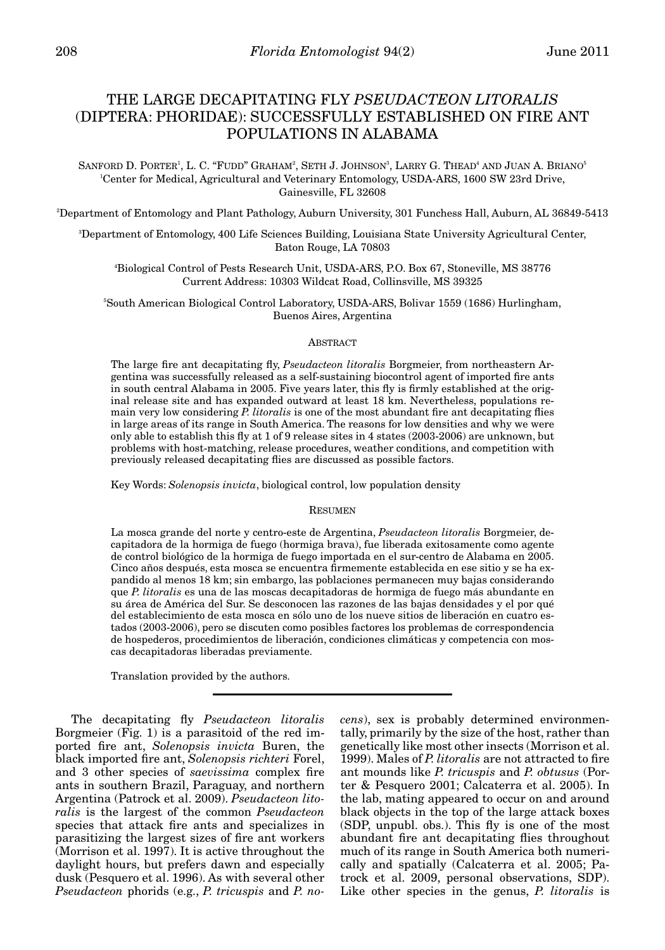# THE LARGE DECAPITATING FLY *PSEUDACTEON LITORALIS* (DIPTERA: PHORIDAE): SUCCESSFULLY ESTABLISHED ON FIRE ANT POPULATIONS IN ALABAMA

SANFORD D. PORTER<sup>1</sup>, L. C. "FUDD" GRAHAM<sup>2</sup>, SETH J. JOHNSON<sup>3</sup>, LARRY G. THEAD<sup>4</sup> AND JUAN A. BRIANO<sup>5</sup> 1 Center for Medical, Agricultural and Veterinary Entomology, USDA-ARS, 1600 SW 23rd Drive, Gainesville, FL 32608

2 Department of Entomology and Plant Pathology, Auburn University, 301 Funchess Hall, Auburn, AL 36849-5413

3 Department of Entomology, 400 Life Sciences Building, Louisiana State University Agricultural Center, Baton Rouge, LA 70803

4 Biological Control of Pests Research Unit, USDA-ARS, P.O. Box 67, Stoneville, MS 38776 Current Address: 10303 Wildcat Road, Collinsville, MS 39325

5 South American Biological Control Laboratory, USDA-ARS, Bolivar 1559 (1686) Hurlingham, Buenos Aires, Argentina

## ABSTRACT

The large fire ant decapitating fly, *Pseudacteon litoralis* Borgmeier, from northeastern Argentina was successfully released as a self-sustaining biocontrol agent of imported fire ants in south central Alabama in 2005. Five years later, this fly is firmly established at the original release site and has expanded outward at least 18 km. Nevertheless, populations remain very low considering *P. litoralis* is one of the most abundant fire ant decapitating flies in large areas of its range in South America. The reasons for low densities and why we were only able to establish this fly at 1 of 9 release sites in 4 states (2003-2006) are unknown, but problems with host-matching, release procedures, weather conditions, and competition with previously released decapitating flies are discussed as possible factors.

Key Words: *Solenopsis invicta*, biological control, low population density

### RESUMEN

La mosca grande del norte y centro-este de Argentina, *Pseudacteon litoralis* Borgmeier, decapitadora de la hormiga de fuego (hormiga brava), fue liberada exitosamente como agente de control biológico de la hormiga de fuego importada en el sur-centro de Alabama en 2005. Cinco años después, esta mosca se encuentra firmemente establecida en ese sitio y se ha expandido al menos 18 km; sin embargo, las poblaciones permanecen muy bajas considerando que *P. litoralis* es una de las moscas decapitadoras de hormiga de fuego más abundante en su área de América del Sur. Se desconocen las razones de las bajas densidades y el por qué del establecimiento de esta mosca en sólo uno de los nueve sitios de liberación en cuatro estados (2003-2006), pero se discuten como posibles factores los problemas de correspondencia de hospederos, procedimientos de liberación, condiciones climáticas y competencia con moscas decapitadoras liberadas previamente.

Translation provided by the authors.

The decapitating fly *Pseudacteon litoralis* Borgmeier (Fig. 1) is a parasitoid of the red imported fire ant, *Solenopsis invicta* Buren, the black imported fire ant, *Solenopsis richteri* Forel, and 3 other species of *saevissima* complex fire ants in southern Brazil, Paraguay, and northern Argentina (Patrock et al. 2009). *Pseudacteon litoralis* is the largest of the common *Pseudacteon* species that attack fire ants and specializes in parasitizing the largest sizes of fire ant workers (Morrison et al. 1997). It is active throughout the daylight hours, but prefers dawn and especially dusk (Pesquero et al. 1996). As with several other *Pseudacteon* phorids (e.g., *P. tricuspis* and *P. no-* *cens*), sex is probably determined environmentally, primarily by the size of the host, rather than genetically like most other insects (Morrison et al. 1999). Males of *P. litoralis* are not attracted to fire ant mounds like *P. tricuspis* and *P. obtusus* (Porter & Pesquero 2001; Calcaterra et al. 2005). In the lab, mating appeared to occur on and around black objects in the top of the large attack boxes (SDP, unpubl. obs.). This fly is one of the most abundant fire ant decapitating flies throughout much of its range in South America both numerically and spatially (Calcaterra et al. 2005; Patrock et al. 2009, personal observations, SDP). Like other species in the genus, *P. litoralis* is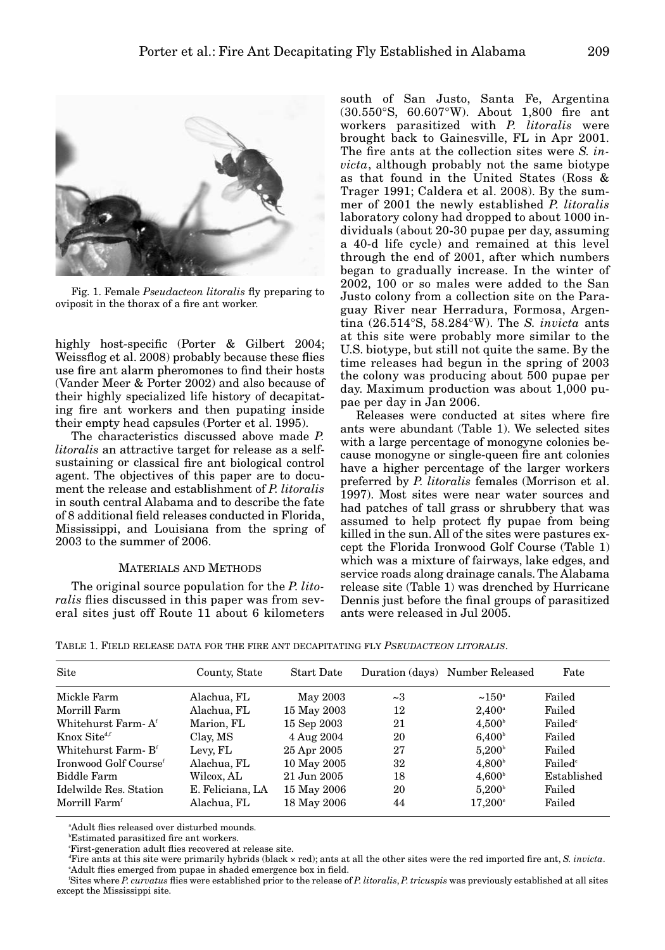

Fig. 1. Female *Pseudacteon litoralis* fly preparing to oviposit in the thorax of a fire ant worker.

highly host-specific (Porter & Gilbert 2004; Weissflog et al. 2008) probably because these flies use fire ant alarm pheromones to find their hosts (Vander Meer & Porter 2002) and also because of their highly specialized life history of decapitating fire ant workers and then pupating inside their empty head capsules (Porter et al. 1995).

The characteristics discussed above made *P. litoralis* an attractive target for release as a selfsustaining or classical fire ant biological control agent. The objectives of this paper are to document the release and establishment of *P. litoralis* in south central Alabama and to describe the fate of 8 additional field releases conducted in Florida, Mississippi, and Louisiana from the spring of 2003 to the summer of 2006.

# MATERIALS AND METHODS

The original source population for the *P. litoralis* flies discussed in this paper was from several sites just off Route 11 about 6 kilometers

south of San Justo, Santa Fe, Argentina (30.550°S, 60.607°W). About 1,800 fire ant workers parasitized with *P. litoralis* were brought back to Gainesville, FL in Apr 2001. The fire ants at the collection sites were *S. invicta*, although probably not the same biotype as that found in the United States (Ross & Trager 1991; Caldera et al. 2008). By the summer of 2001 the newly established *P. litoralis* laboratory colony had dropped to about 1000 individuals (about 20-30 pupae per day, assuming a 40-d life cycle) and remained at this level through the end of 2001, after which numbers began to gradually increase. In the winter of 2002, 100 or so males were added to the San Justo colony from a collection site on the Paraguay River near Herradura, Formosa, Argentina (26.514°S, 58.284°W). The *S. invicta* ants at this site were probably more similar to the U.S. biotype, but still not quite the same. By the time releases had begun in the spring of 2003 the colony was producing about 500 pupae per day. Maximum production was about 1,000 pupae per day in Jan 2006.

Releases were conducted at sites where fire ants were abundant (Table 1). We selected sites with a large percentage of monogyne colonies because monogyne or single-queen fire ant colonies have a higher percentage of the larger workers preferred by *P. litoralis* females (Morrison et al. 1997). Most sites were near water sources and had patches of tall grass or shrubbery that was assumed to help protect fly pupae from being killed in the sun. All of the sites were pastures except the Florida Ironwood Golf Course (Table 1) which was a mixture of fairways, lake edges, and service roads along drainage canals. The Alabama release site (Table 1) was drenched by Hurricane Dennis just before the final groups of parasitized ants were released in Jul 2005.

| Site                                     | County, State | <b>Start Date</b> |    | Duration (days) Number Released | Fate                |  |
|------------------------------------------|---------------|-------------------|----|---------------------------------|---------------------|--|
| Mickle Farm                              | Alachua, FL   | May 2003          | ~1 | $~150^{\circ}$                  | Failed              |  |
| Morrill Farm                             | Alachua, FL   | 15 May 2003       | 12 | $2.400^{\circ}$                 | Failed              |  |
| Whitehurst Farm- Af                      | Marion, FL    | 15 Sep 2003       | 21 | $4,500^{\rm b}$                 | Failed <sup>c</sup> |  |
| $\rm {Knox}\; Site^{\rm {\tiny d,f}}$    | Clay, MS      | 4 Aug 2004        | 20 | 6.400 <sup>b</sup>              | Failed              |  |
| Whitehurst Farm- $\mathrm{B}^\mathrm{f}$ | Levy, FL      | 25 Apr 2005       | 27 | 5.200 <sup>b</sup>              | Failed              |  |
| Ironwood Golf Course <sup>f</sup>        | Alachua, FL   | 10 May 2005       | 32 | 4,800 <sup>b</sup>              | Failed <sup>c</sup> |  |
| Biddle Farm                              | Wilcox, AL    | 21 Jun 2005       | 18 | 4.600 <sup>b</sup>              | Established         |  |
|                                          |               |                   |    |                                 |                     |  |

Idelwilde Res. Station E. Feliciana, LA 15 May 2006 20 5,200 Failed Morrill Farm<sup>f</sup> Alachua, FL 18 May 2006 44 17,200<sup>e</sup> Failed

TABLE 1. FIELD RELEASE DATA FOR THE FIRE ANT DECAPITATING FLY *PSEUDACTEON LITORALIS*.

a Adult flies released over disturbed mounds.

b Estimated parasitized fire ant workers.

First-generation adult flies recovered at release site.

d Fire ants at this site were primarily hybrids (black × red); ants at all the other sites were the red imported fire ant, *S. invicta*. e Adult flies emerged from pupae in shaded emergence box in field.

f Sites where *P. curvatus* flies were established prior to the release of *P. litoralis*, *P. tricuspis* was previously established at all sites except the Mississippi site.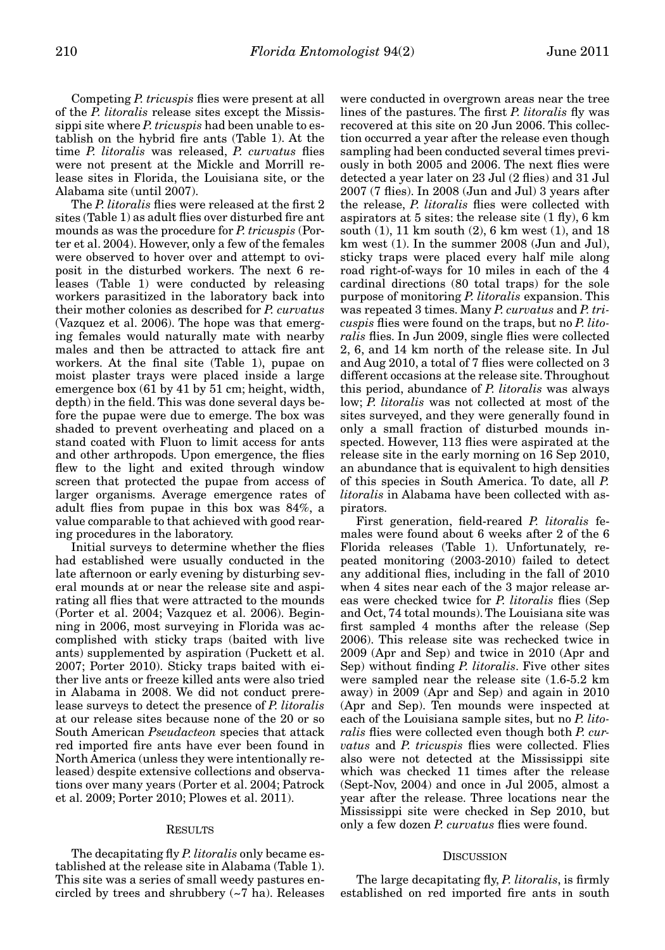Competing *P. tricuspis* flies were present at all of the *P. litoralis* release sites except the Mississippi site where *P. tricuspis* had been unable to establish on the hybrid fire ants (Table 1). At the time *P. litoralis* was released, *P. curvatus* flies were not present at the Mickle and Morrill release sites in Florida, the Louisiana site, or the Alabama site (until 2007).

The *P. litoralis* flies were released at the first 2 sites (Table 1) as adult flies over disturbed fire ant mounds as was the procedure for *P. tricuspis* (Porter et al. 2004). However, only a few of the females were observed to hover over and attempt to oviposit in the disturbed workers. The next 6 releases (Table 1) were conducted by releasing workers parasitized in the laboratory back into their mother colonies as described for *P. curvatus* (Vazquez et al. 2006). The hope was that emerging females would naturally mate with nearby males and then be attracted to attack fire ant workers. At the final site (Table 1), pupae on moist plaster trays were placed inside a large emergence box (61 by 41 by 51 cm; height, width, depth) in the field. This was done several days before the pupae were due to emerge. The box was shaded to prevent overheating and placed on a stand coated with Fluon to limit access for ants and other arthropods. Upon emergence, the flies flew to the light and exited through window screen that protected the pupae from access of larger organisms. Average emergence rates of adult flies from pupae in this box was 84%, a value comparable to that achieved with good rearing procedures in the laboratory.

Initial surveys to determine whether the flies had established were usually conducted in the late afternoon or early evening by disturbing several mounds at or near the release site and aspirating all flies that were attracted to the mounds (Porter et al. 2004; Vazquez et al. 2006). Beginning in 2006, most surveying in Florida was accomplished with sticky traps (baited with live ants) supplemented by aspiration (Puckett et al. 2007; Porter 2010). Sticky traps baited with either live ants or freeze killed ants were also tried in Alabama in 2008. We did not conduct prerelease surveys to detect the presence of *P. litoralis* at our release sites because none of the 20 or so South American *Pseudacteon* species that attack red imported fire ants have ever been found in North America (unless they were intentionally released) despite extensive collections and observations over many years (Porter et al. 2004; Patrock et al. 2009; Porter 2010; Plowes et al. 2011).

# RESULTS

The decapitating fly *P. litoralis* only became established at the release site in Alabama (Table 1). This site was a series of small weedy pastures encircled by trees and shrubbery (~7 ha). Releases

were conducted in overgrown areas near the tree lines of the pastures. The first *P. litoralis* fly was recovered at this site on 20 Jun 2006. This collection occurred a year after the release even though sampling had been conducted several times previously in both 2005 and 2006. The next flies were detected a year later on 23 Jul (2 flies) and 31 Jul 2007 (7 flies). In 2008 (Jun and Jul) 3 years after the release, *P. litoralis* flies were collected with aspirators at 5 sites: the release site (1 fly), 6 km south (1), 11 km south (2), 6 km west (1), and 18 km west (1). In the summer 2008 (Jun and Jul), sticky traps were placed every half mile along road right-of-ways for 10 miles in each of the 4 cardinal directions (80 total traps) for the sole purpose of monitoring *P. litoralis* expansion. This was repeated 3 times. Many *P. curvatus* and *P. tricuspis* flies were found on the traps, but no *P. lito*ralis flies. In Jun 2009, single flies were collected 2, 6, and 14 km north of the release site. In Jul and Aug 2010, a total of 7 flies were collected on 3 different occasions at the release site. Throughout this period, abundance of *P. litoralis* was always low; *P. litoralis* was not collected at most of the sites surveyed, and they were generally found in only a small fraction of disturbed mounds inspected. However, 113 flies were aspirated at the release site in the early morning on 16 Sep 2010, an abundance that is equivalent to high densities of this species in South America. To date, all *P. litoralis* in Alabama have been collected with aspirators.

First generation, field-reared *P. litoralis* females were found about 6 weeks after 2 of the 6 Florida releases (Table 1). Unfortunately, repeated monitoring (2003-2010) failed to detect any additional flies, including in the fall of 2010 when 4 sites near each of the 3 major release areas were checked twice for *P. litoralis* flies (Sep and Oct, 74 total mounds). The Louisiana site was first sampled 4 months after the release (Sep 2006). This release site was rechecked twice in 2009 (Apr and Sep) and twice in 2010 (Apr and Sep) without finding *P. litoralis*. Five other sites were sampled near the release site (1.6-5.2 km away) in 2009 (Apr and Sep) and again in 2010 (Apr and Sep). Ten mounds were inspected at each of the Louisiana sample sites, but no *P. litoralis* flies were collected even though both *P. curvatus* and *P. tricuspis* flies were collected. Flies also were not detected at the Mississippi site which was checked 11 times after the release (Sept-Nov, 2004) and once in Jul 2005, almost a year after the release. Three locations near the Mississippi site were checked in Sep 2010, but only a few dozen *P. curvatus* flies were found.

#### **DISCUSSION**

The large decapitating fly, *P. litoralis*, is firmly established on red imported fire ants in south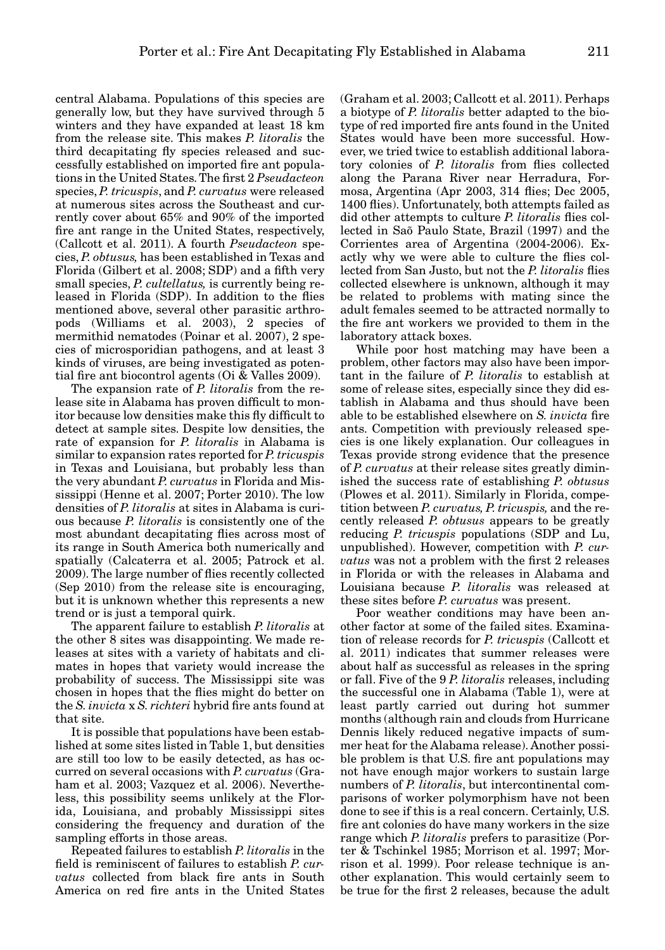central Alabama. Populations of this species are generally low, but they have survived through 5 winters and they have expanded at least 18 km from the release site. This makes *P. litoralis* the third decapitating fly species released and successfully established on imported fire ant populations in the United States. The first 2 *Pseudacteon* species, *P. tricuspis*, and *P. curvatus* were released at numerous sites across the Southeast and currently cover about 65% and 90% of the imported fire ant range in the United States, respectively, (Callcott et al. 2011). A fourth *Pseudacteon* species, *P. obtusus,* has been established in Texas and Florida (Gilbert et al. 2008; SDP) and a fifth very small species, *P. cultellatus,* is currently being released in Florida (SDP). In addition to the flies mentioned above, several other parasitic arthropods (Williams et al. 2003), 2 species of mermithid nematodes (Poinar et al. 2007), 2 species of microsporidian pathogens, and at least 3 kinds of viruses, are being investigated as potential fire ant biocontrol agents (Oi & Valles 2009).

The expansion rate of *P. litoralis* from the release site in Alabama has proven difficult to monitor because low densities make this fly difficult to detect at sample sites. Despite low densities, the rate of expansion for *P. litoralis* in Alabama is similar to expansion rates reported for *P. tricuspis* in Texas and Louisiana, but probably less than the very abundant *P. curvatus* in Florida and Mississippi (Henne et al. 2007; Porter 2010). The low densities of *P. litoralis* at sites in Alabama is curious because *P. litoralis* is consistently one of the most abundant decapitating flies across most of its range in South America both numerically and spatially (Calcaterra et al. 2005; Patrock et al. 2009). The large number of flies recently collected (Sep 2010) from the release site is encouraging, but it is unknown whether this represents a new trend or is just a temporal quirk.

The apparent failure to establish *P. litoralis* at the other 8 sites was disappointing. We made releases at sites with a variety of habitats and climates in hopes that variety would increase the probability of success. The Mississippi site was chosen in hopes that the flies might do better on the *S. invicta* x *S. richteri* hybrid fire ants found at that site.

It is possible that populations have been established at some sites listed in Table 1, but densities are still too low to be easily detected, as has occurred on several occasions with *P. curvatus* (Graham et al. 2003; Vazquez et al. 2006). Nevertheless, this possibility seems unlikely at the Florida, Louisiana, and probably Mississippi sites considering the frequency and duration of the sampling efforts in those areas.

Repeated failures to establish *P. litoralis* in the field is reminiscent of failures to establish *P. curvatus* collected from black fire ants in South America on red fire ants in the United States (Graham et al. 2003; Callcott et al. 2011). Perhaps a biotype of *P. litoralis* better adapted to the biotype of red imported fire ants found in the United States would have been more successful. However, we tried twice to establish additional laboratory colonies of *P. litoralis* from flies collected along the Parana River near Herradura, Formosa, Argentina (Apr 2003, 314 flies; Dec 2005, 1400 flies). Unfortunately, both attempts failed as did other attempts to culture *P. litoralis* flies collected in Saõ Paulo State, Brazil (1997) and the Corrientes area of Argentina (2004-2006). Exactly why we were able to culture the flies collected from San Justo, but not the *P. litoralis* flies collected elsewhere is unknown, although it may be related to problems with mating since the adult females seemed to be attracted normally to the fire ant workers we provided to them in the laboratory attack boxes.

While poor host matching may have been a problem, other factors may also have been important in the failure of *P. litoralis* to establish at some of release sites, especially since they did establish in Alabama and thus should have been able to be established elsewhere on *S. invicta* fire ants. Competition with previously released species is one likely explanation. Our colleagues in Texas provide strong evidence that the presence of *P. curvatus* at their release sites greatly diminished the success rate of establishing *P. obtusus* (Plowes et al. 2011). Similarly in Florida, competition between *P. curvatus, P. tricuspis,* and the recently released *P. obtusus* appears to be greatly reducing *P. tricuspis* populations (SDP and Lu, unpublished). However, competition with *P. curvatus* was not a problem with the first 2 releases in Florida or with the releases in Alabama and Louisiana because *P. litoralis* was released at these sites before *P. curvatus* was present.

Poor weather conditions may have been another factor at some of the failed sites. Examination of release records for *P. tricuspis* (Callcott et al. 2011) indicates that summer releases were about half as successful as releases in the spring or fall. Five of the 9 *P. litoralis* releases, including the successful one in Alabama (Table 1), were at least partly carried out during hot summer months (although rain and clouds from Hurricane Dennis likely reduced negative impacts of summer heat for the Alabama release). Another possible problem is that U.S. fire ant populations may not have enough major workers to sustain large numbers of *P. litoralis*, but intercontinental comparisons of worker polymorphism have not been done to see if this is a real concern. Certainly, U.S. fire ant colonies do have many workers in the size range which *P. litoralis* prefers to parasitize (Porter & Tschinkel 1985; Morrison et al. 1997; Morrison et al. 1999). Poor release technique is another explanation. This would certainly seem to be true for the first 2 releases, because the adult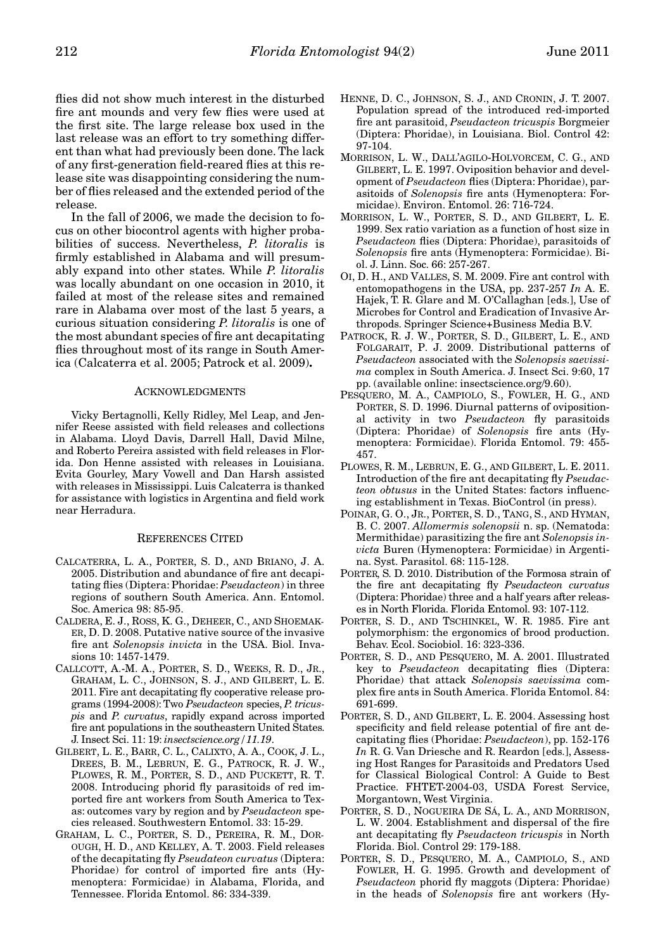flies did not show much interest in the disturbed fire ant mounds and very few flies were used at the first site. The large release box used in the last release was an effort to try something different than what had previously been done. The lack of any first-generation field-reared flies at this release site was disappointing considering the number of flies released and the extended period of the release.

In the fall of 2006, we made the decision to focus on other biocontrol agents with higher probabilities of success. Nevertheless, *P. litoralis* is firmly established in Alabama and will presumably expand into other states. While *P. litoralis* was locally abundant on one occasion in 2010, it failed at most of the release sites and remained rare in Alabama over most of the last 5 years, a curious situation considering *P. litoralis* is one of the most abundant species of fire ant decapitating flies throughout most of its range in South America (Calcaterra et al. 2005; Patrock et al. 2009)**.**

#### ACKNOWLEDGMENTS

Vicky Bertagnolli, Kelly Ridley, Mel Leap, and Jennifer Reese assisted with field releases and collections in Alabama. Lloyd Davis, Darrell Hall, David Milne, and Roberto Pereira assisted with field releases in Florida. Don Henne assisted with releases in Louisiana. Evita Gourley, Mary Vowell and Dan Harsh assisted with releases in Mississippi. Luis Calcaterra is thanked for assistance with logistics in Argentina and field work near Herradura.

### REFERENCES CITED

- CALCATERRA, L. A., PORTER, S. D., AND BRIANO, J. A. 2005. Distribution and abundance of fire ant decapitating flies (Diptera: Phoridae: *Pseudacteon*) in three regions of southern South America. Ann. Entomol. Soc. America 98: 85-95.
- CALDERA, E. J., ROSS, K. G., DEHEER, C., AND SHOEMAK-ER, D. D. 2008. Putative native source of the invasive fire ant *Solenopsis invicta* in the USA. Biol. Invasions 10: 1457-1479.
- CALLCOTT, A.-M. A., PORTER, S. D., WEEKS, R. D., JR., GRAHAM, L. C., JOHNSON, S. J., AND GILBERT, L. E. 2011. Fire ant decapitating fly cooperative release programs (1994-2008): Two *Pseudacteon* species, *P. tricuspis* and *P. curvatus*, rapidly expand across imported fire ant populations in the southeastern United States. J. Insect Sci. 11: 19: *insectscience.org/11.19*.
- GILBERT, L. E., BARR, C. L., CALIXTO, A. A., COOK, J. L., DREES, B. M., LEBRUN, E. G., PATROCK, R. J. W., PLOWES, R. M., PORTER, S. D., AND PUCKETT, R. T. 2008. Introducing phorid fly parasitoids of red imported fire ant workers from South America to Texas: outcomes vary by region and by *Pseudacteon* species released. Southwestern Entomol. 33: 15-29.
- GRAHAM, L. C., PORTER, S. D., PEREIRA, R. M., DOR-OUGH, H. D., AND KELLEY, A. T. 2003. Field releases of the decapitating fly *Pseudateon curvatus* (Diptera: Phoridae) for control of imported fire ants (Hymenoptera: Formicidae) in Alabama, Florida, and Tennessee. Florida Entomol. 86: 334-339.
- HENNE, D. C., JOHNSON, S. J., AND CRONIN, J. T. 2007. Population spread of the introduced red-imported fire ant parasitoid, *Pseudacteon tricuspis* Borgmeier (Diptera: Phoridae), in Louisiana. Biol. Control 42: 97-104.
- MORRISON, L. W., DALL'AGILO-HOLVORCEM, C. G., AND GILBERT, L. E. 1997. Oviposition behavior and development of *Pseudacteon* flies (Diptera: Phoridae), parasitoids of *Solenopsis* fire ants (Hymenoptera: Formicidae). Environ. Entomol. 26: 716-724.
- MORRISON, L. W., PORTER, S. D., AND GILBERT, L. E. 1999. Sex ratio variation as a function of host size in *Pseudacteon* flies (Diptera: Phoridae), parasitoids of *Solenopsis* fire ants (Hymenoptera: Formicidae). Biol. J. Linn. Soc. 66: 257-267.
- OI, D. H., AND VALLES, S. M. 2009. Fire ant control with entomopathogens in the USA, pp. 237-257 *In* A. E. Hajek, T. R. Glare and M. O'Callaghan [eds.], Use of Microbes for Control and Eradication of Invasive Arthropods. Springer Science+Business Media B.V.
- PATROCK, R. J. W., PORTER, S. D., GILBERT, L. E., AND FOLGARAIT, P. J. 2009. Distributional patterns of *Pseudacteon* associated with the *Solenopsis saevissima* complex in South America. J. Insect Sci. 9:60, 17 pp. (available online: insectscience.org/9.60).
- PESQUERO, M. A., CAMPIOLO, S., FOWLER, H. G., AND PORTER, S. D. 1996. Diurnal patterns of ovipositional activity in two *Pseudacteon* fly parasitoids (Diptera: Phoridae) of *Solenopsis* fire ants (Hymenoptera: Formicidae). Florida Entomol. 79: 455- 457.
- PLOWES, R. M., LEBRUN, E. G., AND GILBERT, L. E. 2011. Introduction of the fire ant decapitating fly *Pseudacteon obtusus* in the United States: factors influencing establishment in Texas. BioControl (in press).
- POINAR, G. O., JR., PORTER, S. D., TANG, S., AND HYMAN, B. C. 2007. *Allomermis solenopsii* n. sp. (Nematoda: Mermithidae) parasitizing the fire ant *Solenopsis invicta* Buren (Hymenoptera: Formicidae) in Argentina. Syst. Parasitol. 68: 115-128.
- PORTER, S. D. 2010. Distribution of the Formosa strain of the fire ant decapitating fly *Pseudacteon curvatus* (Diptera: Phoridae) three and a half years after releases in North Florida. Florida Entomol. 93: 107-112.
- PORTER, S. D., AND TSCHINKEL, W. R. 1985. Fire ant polymorphism: the ergonomics of brood production. Behav. Ecol. Sociobiol. 16: 323-336.
- PORTER, S. D., AND PESQUERO, M. A. 2001. Illustrated key to *Pseudacteon* decapitating flies (Diptera: Phoridae) that attack *Solenopsis saevissima* complex fire ants in South America. Florida Entomol. 84: 691-699.
- PORTER, S. D., AND GILBERT, L. E. 2004. Assessing host specificity and field release potential of fire ant decapitating flies (Phoridae: *Pseudacteon*), pp. 152-176 *In* R. G. Van Driesche and R. Reardon [eds.], Assessing Host Ranges for Parasitoids and Predators Used for Classical Biological Control: A Guide to Best Practice. FHTET-2004-03, USDA Forest Service, Morgantown, West Virginia.
- PORTER, S. D., NOGUEIRA DE SÁ, L. A., AND MORRISON, L. W. 2004. Establishment and dispersal of the fire ant decapitating fly *Pseudacteon tricuspis* in North Florida. Biol. Control 29: 179-188.
- PORTER, S. D., PESQUERO, M. A., CAMPIOLO, S., AND FOWLER, H. G. 1995. Growth and development of *Pseudacteon* phorid fly maggots (Diptera: Phoridae) in the heads of *Solenopsis* fire ant workers (Hy-